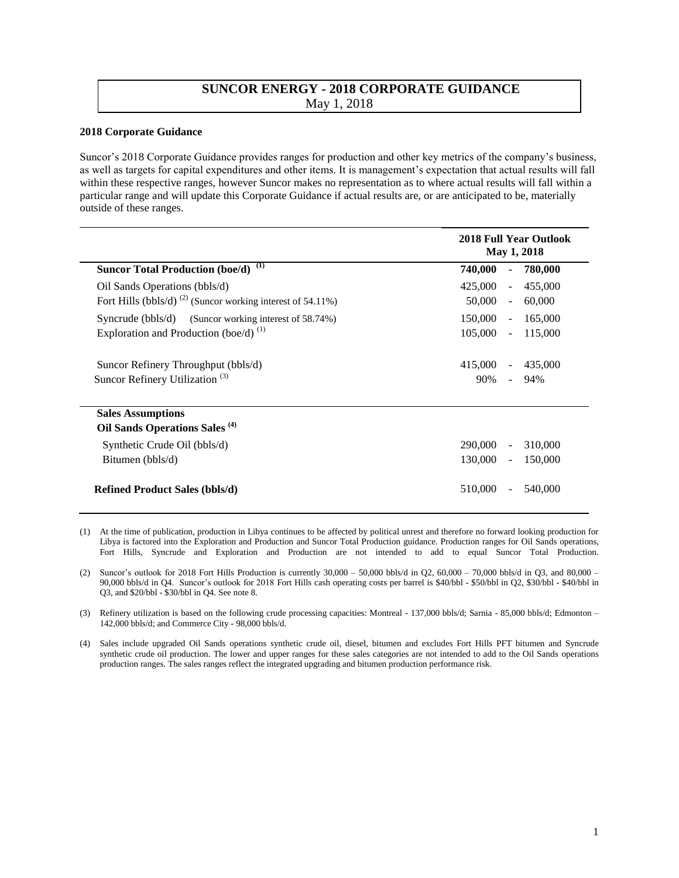## **SUNCOR ENERGY - 2018 CORPORATE GUIDANCE**  May 1, 2018

## **2018 Corporate Guidance**

Suncor's 2018 Corporate Guidance provides ranges for production and other key metrics of the company's business, as well as targets for capital expenditures and other items. It is management's expectation that actual results will fall within these respective ranges, however Suncor makes no representation as to where actual results will fall within a particular range and will update this Corporate Guidance if actual results are, or are anticipated to be, materially outside of these ranges.

|                                                                        | <b>2018 Full Year Outlook</b><br><b>May 1, 2018</b> |                                     |
|------------------------------------------------------------------------|-----------------------------------------------------|-------------------------------------|
| Suncor Total Production (boe/d) (1)                                    | 740,000                                             | 780,000<br>٠                        |
| Oil Sands Operations (bbls/d)                                          | 425,000                                             | 455,000<br>$\blacksquare$           |
| Fort Hills (bbls/d) <sup>(2)</sup> (Suncor working interest of 54.11%) | 50,000                                              | 60,000<br>$\blacksquare$            |
| Syncrude (bbls/d) (Suncor working interest of 58.74%)                  | 150,000                                             | 165,000<br>$\blacksquare$           |
| Exploration and Production (boe/d) $^{(1)}$                            | 105,000                                             | 115,000<br>$\Box$                   |
| Suncor Refinery Throughput (bbls/d)                                    | 415,000                                             | 435,000<br>$\overline{\phantom{a}}$ |
| Suncor Refinery Utilization <sup>(3)</sup>                             | 90%                                                 | 94%<br>$\blacksquare$               |
| <b>Sales Assumptions</b>                                               |                                                     |                                     |
| Oil Sands Operations Sales <sup>(4)</sup>                              |                                                     |                                     |
| Synthetic Crude Oil (bbls/d)                                           | 290,000                                             | 310,000                             |
| Bitumen (bbls/d)                                                       | 130,000                                             | 150,000<br>$\blacksquare$           |
| <b>Refined Product Sales (bbls/d)</b>                                  | 510,000                                             | 540,000                             |

<sup>(1)</sup> At the time of publication, production in Libya continues to be affected by political unrest and therefore no forward looking production for Libya is factored into the Exploration and Production and Suncor Total Production guidance. Production ranges for Oil Sands operations, Fort Hills, Syncrude and Exploration and Production are not intended to add to equal Suncor Total Production.

<sup>(2)</sup> Suncor's outlook for 2018 Fort Hills Production is currently  $30,000 - 50,000$  bbls/d in Q2, 60,000 – 70,000 bbls/d in Q3, and  $80,000$  – 90,000 bbls/d in Q4. Suncor's outlook for 2018 Fort Hills cash operating costs per barrel is \$40/bbl - \$50/bbl in Q2, \$30/bbl - \$40/bbl in Q3, and \$20/bbl - \$30/bbl in Q4. See note 8.

<sup>(3)</sup> Refinery utilization is based on the following crude processing capacities: Montreal - 137,000 bbls/d; Sarnia - 85,000 bbls/d; Edmonton – 142,000 bbls/d; and Commerce City - 98,000 bbls/d.

<sup>(4)</sup> Sales include upgraded Oil Sands operations synthetic crude oil, diesel, bitumen and excludes Fort Hills PFT bitumen and Syncrude synthetic crude oil production. The lower and upper ranges for these sales categories are not intended to add to the Oil Sands operations production ranges. The sales ranges reflect the integrated upgrading and bitumen production performance risk.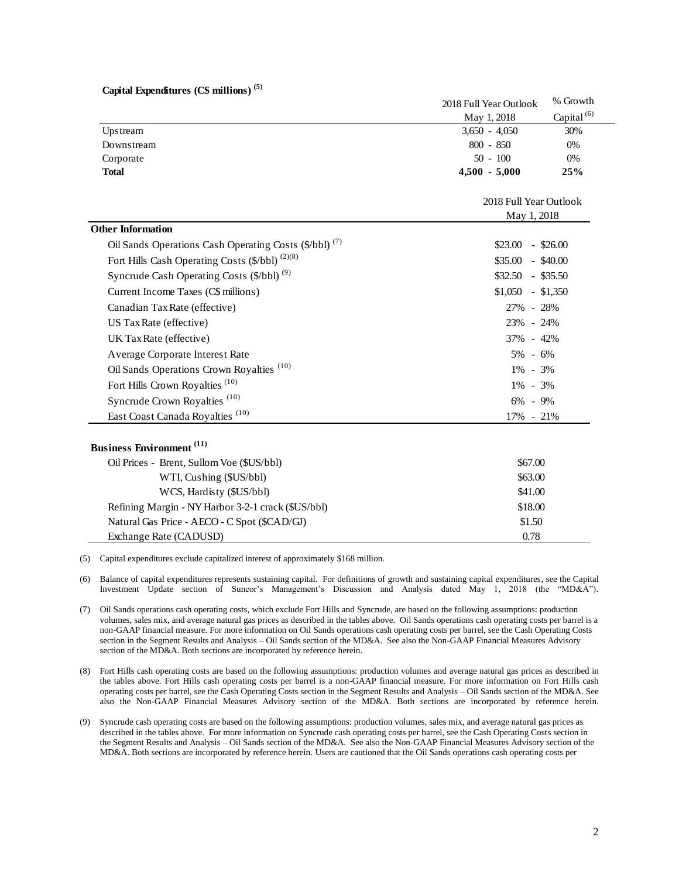## **Capital Expenditures (C\$ millions) (5)**

|                                                                   | 2018 Full Year Outlook | % Growth               |  |  |
|-------------------------------------------------------------------|------------------------|------------------------|--|--|
|                                                                   | May 1, 2018            | Capital $(6)$          |  |  |
| Upstream                                                          | $3,650 - 4,050$        | 30%                    |  |  |
| Downstream                                                        | $800 - 850$            | 0%                     |  |  |
| Corporate                                                         | $50 - 100$             | 0%                     |  |  |
| <b>Total</b>                                                      | $4,500 - 5,000$        | 25%                    |  |  |
|                                                                   |                        | 2018 Full Year Outlook |  |  |
|                                                                   |                        | May 1, 2018            |  |  |
| <b>Other Information</b>                                          |                        |                        |  |  |
| Oil Sands Operations Cash Operating Costs (\$/bbl) <sup>(7)</sup> | \$23.00                | $-$ \$26.00            |  |  |
| Fort Hills Cash Operating Costs (\$/bbl) <sup>(2)(8)</sup>        | \$35.00<br>$-$ \$40.00 |                        |  |  |
| Syncrude Cash Operating Costs (\$/bbl) <sup>(9)</sup>             | $\$32.50 - \$35.50$    |                        |  |  |
| Current Income Taxes (C\$ millions)                               |                        | $$1,050$ - \$1,350     |  |  |
| Canadian Tax Rate (effective)                                     | 27% - 28%              |                        |  |  |
| US Tax Rate (effective)                                           | 23% - 24%              |                        |  |  |
| UK Tax Rate (effective)                                           |                        | 37% - 42%              |  |  |
| Average Corporate Interest Rate                                   | 5% - 6%                |                        |  |  |
| Oil Sands Operations Crown Royalties <sup>(10)</sup>              | 1% - 3%                |                        |  |  |
| Fort Hills Crown Royalties <sup>(10)</sup>                        | $1\% - 3\%$            |                        |  |  |
| Syncrude Crown Royalties <sup>(10)</sup>                          | $6\% - 9\%$            |                        |  |  |
| East Coast Canada Royalties <sup>(10)</sup>                       | 17% - 21%              |                        |  |  |
| <b>Business Environment</b> (11)                                  |                        |                        |  |  |
| Oil Prices - Brent, Sullom Voe (\$US/bbl)                         |                        | \$67.00                |  |  |
| WTI, Cushing (\$US/bbl)                                           |                        | \$63.00                |  |  |
| WCS, Hardisty (\$US/bbl)                                          | \$41.00                |                        |  |  |
| Refining Margin - NY Harbor 3-2-1 crack (\$US/bbl)                |                        | \$18.00                |  |  |
| Natural Gas Price - AECO - C Spot (\$CAD/GJ)                      |                        | \$1.50                 |  |  |
| Exchange Rate (CADUSD)                                            | 0.78                   |                        |  |  |

(5) Capital expenditures exclude capitalized interest of approximately \$168 million.

(6) Balance of capital expenditures represents sustaining capital. For definitions of growth and sustaining capital expenditures, see the Capital Investment Update section of Suncor's Management's Discussion and Analysis dated May 1, 2018 (the "MD&A").

(7) Oil Sands operations cash operating costs, which exclude Fort Hills and Syncrude, are based on the following assumptions: production volumes, sales mix, and average natural gas prices as described in the tables above. Oil Sands operations cash operating costs per barrel is a non-GAAP financial measure. For more information on Oil Sands operations cash operating costs per barrel, see the Cash Operating Costs section in the Segment Results and Analysis - Oil Sands section of the MD&A. See also the Non-GAAP Financial Measures Advisory section of the MD&A. Both sections are incorporated by reference herein.

(8) Fort Hills cash operating costs are based on the following assumptions: production volumes and average natural gas prices as described in the tables above. Fort Hills cash operating costs per barrel is a non-GAAP financial measure. For more information on Fort Hills cash operating costs per barrel, see the Cash Operating Costs section in the Segment Results and Analysis – Oil Sands section of the MD&A. See also the Non-GAAP Financial Measures Advisory section of the MD&A. Both sections are incorporated by reference herein.

(9) Syncrude cash operating costs are based on the following assumptions: production volumes, sales mix, and average natural gas prices as described in the tables above. For more information on Syncrude cash operating costs per barrel, see the Cash Operating Costs section in the Segment Results and Analysis – Oil Sands section of the MD&A. See also the Non-GAAP Financial Measures Advisory section of the MD&A. Both sections are incorporated by reference herein. Users are cautioned that the Oil Sands operations cash operating costs per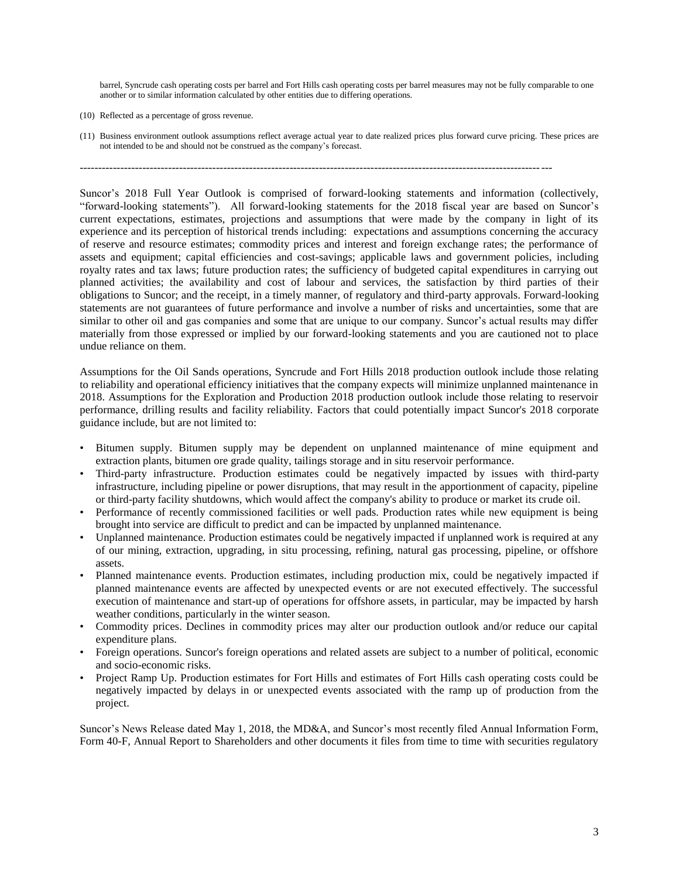barrel, Syncrude cash operating costs per barrel and Fort Hills cash operating costs per barrel measures may not be fully comparable to one another or to similar information calculated by other entities due to differing operations.

- (10) Reflected as a percentage of gross revenue.
- (11) Business environment outlook assumptions reflect average actual year to date realized prices plus forward curve pricing. These prices are not intended to be and should not be construed as the company's forecast.

--------------------------------------------------------------------------------------------------------------------------------

Suncor's 2018 Full Year Outlook is comprised of forward-looking statements and information (collectively, "forward-looking statements"). All forward-looking statements for the 2018 fiscal year are based on Suncor's current expectations, estimates, projections and assumptions that were made by the company in light of its experience and its perception of historical trends including: expectations and assumptions concerning the accuracy of reserve and resource estimates; commodity prices and interest and foreign exchange rates; the performance of assets and equipment; capital efficiencies and cost-savings; applicable laws and government policies, including royalty rates and tax laws; future production rates; the sufficiency of budgeted capital expenditures in carrying out planned activities; the availability and cost of labour and services, the satisfaction by third parties of their obligations to Suncor; and the receipt, in a timely manner, of regulatory and third-party approvals. Forward-looking statements are not guarantees of future performance and involve a number of risks and uncertainties, some that are similar to other oil and gas companies and some that are unique to our company. Suncor's actual results may differ materially from those expressed or implied by our forward-looking statements and you are cautioned not to place undue reliance on them.

Assumptions for the Oil Sands operations, Syncrude and Fort Hills 2018 production outlook include those relating to reliability and operational efficiency initiatives that the company expects will minimize unplanned maintenance in 2018. Assumptions for the Exploration and Production 2018 production outlook include those relating to reservoir performance, drilling results and facility reliability. Factors that could potentially impact Suncor's 2018 corporate guidance include, but are not limited to:

- Bitumen supply. Bitumen supply may be dependent on unplanned maintenance of mine equipment and extraction plants, bitumen ore grade quality, tailings storage and in situ reservoir performance.
- Third-party infrastructure. Production estimates could be negatively impacted by issues with third-party infrastructure, including pipeline or power disruptions, that may result in the apportionment of capacity, pipeline or third-party facility shutdowns, which would affect the company's ability to produce or market its crude oil.
- Performance of recently commissioned facilities or well pads. Production rates while new equipment is being brought into service are difficult to predict and can be impacted by unplanned maintenance.
- Unplanned maintenance. Production estimates could be negatively impacted if unplanned work is required at any of our mining, extraction, upgrading, in situ processing, refining, natural gas processing, pipeline, or offshore assets.
- Planned maintenance events. Production estimates, including production mix, could be negatively impacted if planned maintenance events are affected by unexpected events or are not executed effectively. The successful execution of maintenance and start-up of operations for offshore assets, in particular, may be impacted by harsh weather conditions, particularly in the winter season.
- Commodity prices. Declines in commodity prices may alter our production outlook and/or reduce our capital expenditure plans.
- Foreign operations. Suncor's foreign operations and related assets are subject to a number of political, economic and socio-economic risks.
- Project Ramp Up. Production estimates for Fort Hills and estimates of Fort Hills cash operating costs could be negatively impacted by delays in or unexpected events associated with the ramp up of production from the project.

Suncor's News Release dated May 1, 2018, the MD&A, and Suncor's most recently filed Annual Information Form, Form 40-F, Annual Report to Shareholders and other documents it files from time to time with securities regulatory